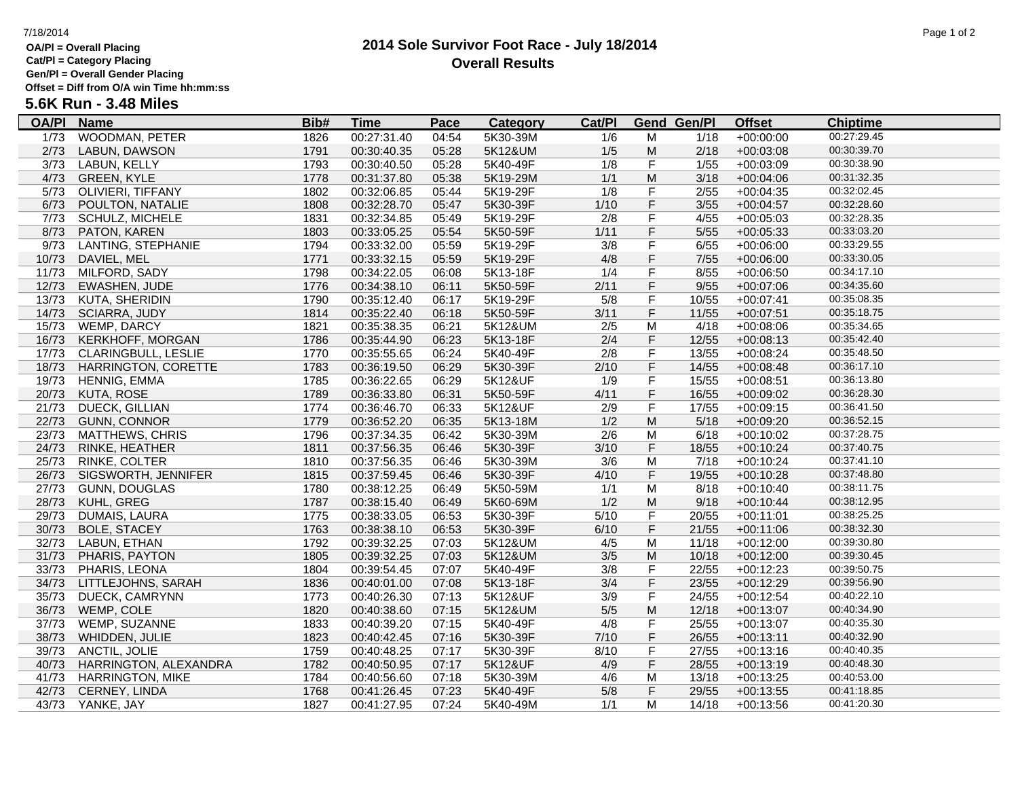# **OA/Pl = Overall Placing**

**Cat/Pl = Category Placing**

# **Gen/Pl = Overall Gender Placing**

**Offset = Diff from O/A win Time hh:mm:ss**

# **5.6K Run - 3.48 Miles**

| <b>OA/PI</b> | <b>Name</b>             | Bib# | <u>Time</u> | <b>Pace</b> | <b>Category</b> | Cat/PI |                | <b>Gend Gen/Pl</b> | <b>Offset</b> | <b>Chiptime</b> |  |
|--------------|-------------------------|------|-------------|-------------|-----------------|--------|----------------|--------------------|---------------|-----------------|--|
| 1/73         | WOODMAN, PETER          | 1826 | 00:27:31.40 | 04:54       | 5K30-39M        | 1/6    | м              | 1/18               | $+00:00:00$   | 00:27:29.45     |  |
| 2/73         | LABUN, DAWSON           | 1791 | 00:30:40.35 | 05:28       | 5K12&UM         | 1/5    | M              | 2/18               | $+00:03:08$   | 00:30:39.70     |  |
| 3/73         | LABUN, KELLY            | 1793 | 00:30:40.50 | 05:28       | 5K40-49F        | 1/8    | $\mathsf F$    | 1/55               | $+00:03:09$   | 00:30:38.90     |  |
| 4/73         | <b>GREEN, KYLE</b>      | 1778 | 00:31:37.80 | 05:38       | 5K19-29M        | 1/1    | M              | 3/18               | $+00:04:06$   | 00:31:32.35     |  |
| 5/73         | OLIVIERI, TIFFANY       | 1802 | 00:32:06.85 | 05:44       | 5K19-29F        | 1/8    | $\mathsf F$    | 2/55               | $+00:04:35$   | 00:32:02.45     |  |
| 6/73         | POULTON, NATALIE        | 1808 | 00:32:28.70 | 05:47       | 5K30-39F        | 1/10   | F              | $3/55$             | $+00:04:57$   | 00:32:28.60     |  |
| 7/73         | <b>SCHULZ, MICHELE</b>  | 1831 | 00:32:34.85 | 05:49       | 5K19-29F        | 2/8    | $\mathsf F$    | 4/55               | $+00:05:03$   | 00:32:28.35     |  |
| 8/73         | PATON, KAREN            | 1803 | 00:33:05.25 | 05:54       | 5K50-59F        | 1/11   | $\mathsf F$    | 5/55               | $+00:05:33$   | 00:33:03.20     |  |
| 9/73         | LANTING, STEPHANIE      | 1794 | 00:33:32.00 | 05:59       | 5K19-29F        | 3/8    | $\overline{F}$ | 6/55               | $+00:06:00$   | 00:33:29.55     |  |
| 10/73        | DAVIEL, MEL             | 1771 | 00:33:32.15 | 05:59       | 5K19-29F        | 4/8    | F              | 7/55               | $+00:06:00$   | 00:33:30.05     |  |
| 11/73        | MILFORD, SADY           | 1798 | 00:34:22.05 | 06:08       | 5K13-18F        | 1/4    | F              | 8/55               | $+00:06:50$   | 00:34:17.10     |  |
| 12/73        | EWASHEN, JUDE           | 1776 | 00:34:38.10 | 06:11       | 5K50-59F        | 2/11   | $\mathsf F$    | 9/55               | $+00:07:06$   | 00:34:35.60     |  |
| 13/73        | KUTA, SHERIDIN          | 1790 | 00:35:12.40 | 06:17       | 5K19-29F        | 5/8    | $\mathsf F$    | 10/55              | $+00:07:41$   | 00:35:08.35     |  |
| 14/73        | SCIARRA, JUDY           | 1814 | 00:35:22.40 | 06:18       | 5K50-59F        | 3/11   | F              | 11/55              | $+00:07:51$   | 00:35:18.75     |  |
| 15/73        | WEMP, DARCY             | 1821 | 00:35:38.35 | 06:21       | 5K12&UM         | 2/5    | M              | 4/18               | $+00:08:06$   | 00:35:34.65     |  |
| 16/73        | <b>KERKHOFF, MORGAN</b> | 1786 | 00:35:44.90 | 06:23       | 5K13-18F        | 2/4    | F              | 12/55              | $+00:08:13$   | 00:35:42.40     |  |
| 17/73        | CLARINGBULL, LESLIE     | 1770 | 00:35:55.65 | 06:24       | 5K40-49F        | 2/8    | F              | 13/55              | $+00:08:24$   | 00:35:48.50     |  |
| 18/73        | HARRINGTON, CORETTE     | 1783 | 00:36:19.50 | 06:29       | 5K30-39F        | 2/10   | F              | 14/55              | $+00:08:48$   | 00:36:17.10     |  |
| 19/73        | HENNIG, EMMA            | 1785 | 00:36:22.65 | 06:29       | 5K12&UF         | 1/9    | $\mathsf F$    | 15/55              | $+00:08:51$   | 00:36:13.80     |  |
| 20/73        | KUTA, ROSE              | 1789 | 00:36:33.80 | 06:31       | 5K50-59F        | 4/11   | F              | 16/55              | $+00:09:02$   | 00:36:28.30     |  |
| 21/73        | <b>DUECK, GILLIAN</b>   | 1774 | 00:36:46.70 | 06:33       | 5K12&UF         | 2/9    | F              | 17/55              | $+00:09:15$   | 00:36:41.50     |  |
|              | 22/73 GUNN, CONNOR      | 1779 | 00:36:52.20 | 06:35       | 5K13-18M        | 1/2    | M              | 5/18               | $+00:09:20$   | 00:36:52.15     |  |
| 23/73        | <b>MATTHEWS, CHRIS</b>  | 1796 | 00:37:34.35 | 06:42       | 5K30-39M        | 2/6    | M              | 6/18               | $+00:10:02$   | 00:37:28.75     |  |
| 24/73        | RINKE, HEATHER          | 1811 | 00:37:56.35 | 06:46       | 5K30-39F        | 3/10   | $\mathsf F$    | 18/55              | $+00:10:24$   | 00:37:40.75     |  |
| 25/73        | RINKE, COLTER           | 1810 | 00:37:56.35 | 06:46       | 5K30-39M        | 3/6    | M              | 7/18               | $+00:10:24$   | 00:37:41.10     |  |
| 26/73        | SIGSWORTH, JENNIFER     | 1815 | 00:37:59.45 | 06:46       | 5K30-39F        | 4/10   | F              | 19/55              | $+00:10:28$   | 00:37:48.80     |  |
| 27/73        | GUNN, DOUGLAS           | 1780 | 00:38:12.25 | 06:49       | 5K50-59M        | 1/1    | M              | 8/18               | $+00:10:40$   | 00:38:11.75     |  |
| 28/73        | KUHL, GREG              | 1787 | 00:38:15.40 | 06:49       | 5K60-69M        | 1/2    | M              | 9/18               | $+00:10:44$   | 00:38:12.95     |  |
| 29/73        | DUMAIS, LAURA           | 1775 | 00:38:33.05 | 06:53       | 5K30-39F        | 5/10   | F              | 20/55              | $+00:11:01$   | 00:38:25.25     |  |
| 30/73        | <b>BOLE, STACEY</b>     | 1763 | 00:38:38.10 | 06:53       | 5K30-39F        | 6/10   | F              | 21/55              | $+00:11:06$   | 00:38:32.30     |  |
| 32/73        | LABUN, ETHAN            | 1792 | 00:39:32.25 | 07:03       | 5K12&UM         | 4/5    | M              | 11/18              | $+00:12:00$   | 00:39:30.80     |  |
| 31/73        | PHARIS, PAYTON          | 1805 | 00:39:32.25 | 07:03       | 5K12&UM         | 3/5    | M              | 10/18              | $+00:12:00$   | 00:39:30.45     |  |
| 33/73        | PHARIS, LEONA           | 1804 | 00:39:54.45 | 07:07       | 5K40-49F        | 3/8    | F              | 22/55              | $+00:12:23$   | 00:39:50.75     |  |
| 34/73        | LITTLEJOHNS, SARAH      | 1836 | 00:40:01.00 | 07:08       | 5K13-18F        | 3/4    | F              | 23/55              | $+00:12:29$   | 00:39:56.90     |  |
| 35/73        | DUECK, CAMRYNN          | 1773 | 00:40:26.30 | 07:13       | 5K12&UF         | 3/9    | $\mathsf F$    | 24/55              | $+00:12:54$   | 00:40:22.10     |  |
| 36/73        | WEMP, COLE              | 1820 | 00:40:38.60 | 07:15       | 5K12&UM         | $5/5$  | M              | 12/18              | $+00:13:07$   | 00:40:34.90     |  |
| 37/73        | WEMP, SUZANNE           | 1833 | 00:40:39.20 | 07:15       | 5K40-49F        | 4/8    | F              | 25/55              | $+00:13:07$   | 00:40:35.30     |  |
| 38/73        | WHIDDEN, JULIE          | 1823 | 00:40:42.45 | 07:16       | 5K30-39F        | 7/10   | F              | 26/55              | $+00:13:11$   | 00:40:32.90     |  |
| 39/73        | ANCTIL, JOLIE           | 1759 | 00:40:48.25 | 07:17       | 5K30-39F        | 8/10   | F              | 27/55              | $+00:13:16$   | 00:40:40.35     |  |
| 40/73        | HARRINGTON, ALEXANDRA   | 1782 | 00:40:50.95 | 07:17       | 5K12&UF         | 4/9    | F              | 28/55              | $+00:13:19$   | 00:40:48.30     |  |
| 41/73        | <b>HARRINGTON, MIKE</b> | 1784 | 00:40:56.60 | 07:18       | 5K30-39M        | 4/6    | M              | 13/18              | $+00:13:25$   | 00:40:53.00     |  |
| 42/73        | CERNEY, LINDA           | 1768 | 00:41:26.45 | 07:23       | 5K40-49F        | 5/8    | $\mathsf F$    | 29/55              | $+00:13:55$   | 00:41:18.85     |  |
|              | 43/73 YANKE, JAY        | 1827 | 00:41:27.95 | 07:24       | 5K40-49M        | 1/1    | M              | 14/18              | $+00:13:56$   | 00:41:20.30     |  |
|              |                         |      |             |             |                 |        |                |                    |               |                 |  |

### 7/18/2014 Page 1 of 2

# **2014 Sole Survivor Foot Race - July 18/2014 Overall Results**